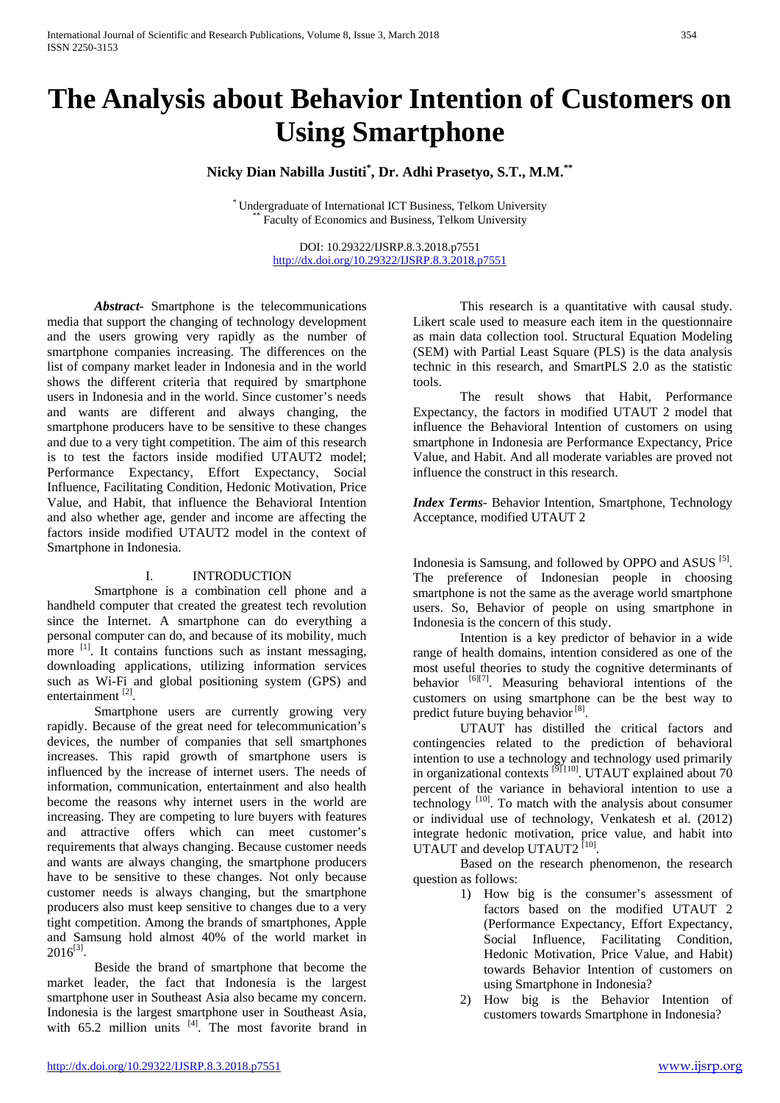# **The Analysis about Behavior Intention of Customers on Using Smartphone**

**Nicky Dian Nabilla Justiti\* , Dr. Adhi Prasetyo, S.T., M.M.\*\***

\* Undergraduate of International ICT Business, Telkom University \*\* Faculty of Economics and Business, Telkom University

DOI: 10.29322/IJSRP.8.3.2018.p7551 <http://dx.doi.org/10.29322/IJSRP.8.3.2018.p7551>

*Abstract***-** Smartphone is the telecommunications media that support the changing of technology development and the users growing very rapidly as the number of smartphone companies increasing. The differences on the list of company market leader in Indonesia and in the world shows the different criteria that required by smartphone users in Indonesia and in the world. Since customer's needs and wants are different and always changing, the smartphone producers have to be sensitive to these changes and due to a very tight competition. The aim of this research is to test the factors inside modified UTAUT2 model; Performance Expectancy, Effort Expectancy, Social Influence, Facilitating Condition, Hedonic Motivation, Price Value, and Habit, that influence the Behavioral Intention and also whether age, gender and income are affecting the factors inside modified UTAUT2 model in the context of Smartphone in Indonesia.

#### I. INTRODUCTION

Smartphone is a combination cell phone and a handheld computer that created the greatest tech revolution since the Internet. A smartphone can do everything a personal computer can do, and because of its mobility, much more <sup>[1]</sup>. It contains functions such as instant messaging, downloading applications, utilizing information services such as Wi-Fi and global positioning system (GPS) and entertainment<sup>[2]</sup>.

Smartphone users are currently growing very rapidly. Because of the great need for telecommunication's devices, the number of companies that sell smartphones increases. This rapid growth of smartphone users is influenced by the increase of internet users. The needs of information, communication, entertainment and also health become the reasons why internet users in the world are increasing. They are competing to lure buyers with features and attractive offers which can meet customer's requirements that always changing. Because customer needs and wants are always changing, the smartphone producers have to be sensitive to these changes. Not only because customer needs is always changing, but the smartphone producers also must keep sensitive to changes due to a very tight competition. Among the brands of smartphones, Apple and Samsung hold almost 40% of the world market in  $2016^{[3]}$ .

Beside the brand of smartphone that become the market leader, the fact that Indonesia is the largest smartphone user in Southeast Asia also became my concern. Indonesia is the largest smartphone user in Southeast Asia, with  $65.2$  million units  $^{[4]}$ . The most favorite brand in

This research is a quantitative with causal study. Likert scale used to measure each item in the questionnaire as main data collection tool. Structural Equation Modeling (SEM) with Partial Least Square (PLS) is the data analysis technic in this research, and SmartPLS 2.0 as the statistic tools.

The result shows that Habit, Performance Expectancy, the factors in modified UTAUT 2 model that influence the Behavioral Intention of customers on using smartphone in Indonesia are Performance Expectancy, Price Value, and Habit. And all moderate variables are proved not influence the construct in this research.

*Index Terms*- Behavior Intention, Smartphone, Technology Acceptance, modified UTAUT 2

Indonesia is Samsung, and followed by OPPO and ASUS <sup>[5]</sup>. The preference of Indonesian people in choosing smartphone is not the same as the average world smartphone users. So, Behavior of people on using smartphone in Indonesia is the concern of this study.

Intention is a key predictor of behavior in a wide range of health domains, intention considered as one of the most useful theories to study the cognitive determinants of behavior  $^{[6][7]}$ . Measuring behavioral intentions of the customers on using smartphone can be the best way to predict future buying behavior  $[8]$ .

UTAUT has distilled the critical factors and contingencies related to the prediction of behavioral intention to use a technology and technology used primarily in organizational contexts<sup>[9][10]</sup>. UTAUT explained about 70 percent of the variance in behavioral intention to use a technology  $\begin{bmatrix} 10 \end{bmatrix}$ . To match with the analysis about consumer or individual use of technology, Venkatesh et al. (2012) integrate hedonic motivation, price value, and habit into UTAUT and develop UTAUT2<sup>[10]</sup>.

Based on the research phenomenon, the research question as follows:

- 1) How big is the consumer's assessment of factors based on the modified UTAUT 2 (Performance Expectancy, Effort Expectancy, Social Influence, Facilitating Condition, Hedonic Motivation, Price Value, and Habit) towards Behavior Intention of customers on using Smartphone in Indonesia?
- 2) How big is the Behavior Intention of customers towards Smartphone in Indonesia?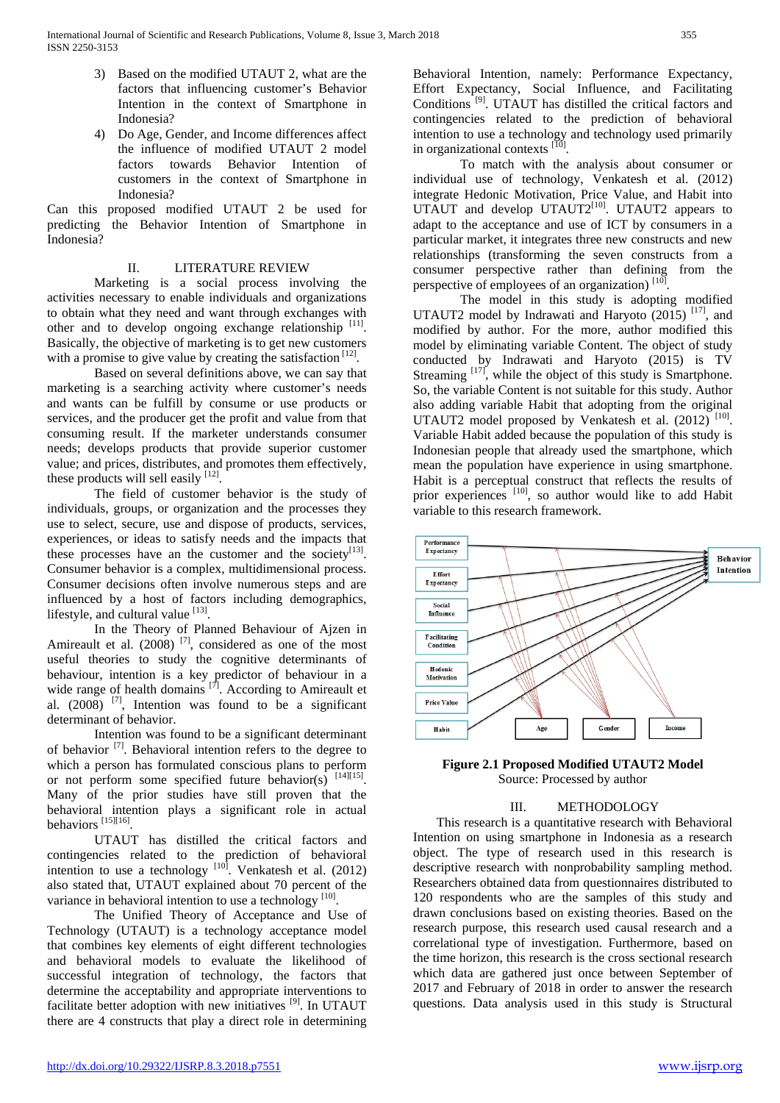- 3) Based on the modified UTAUT 2, what are the factors that influencing customer's Behavior Intention in the context of Smartphone in Indonesia?
- 4) Do Age, Gender, and Income differences affect the influence of modified UTAUT 2 model factors towards Behavior Intention of customers in the context of Smartphone in Indonesia?

Can this proposed modified UTAUT 2 be used for predicting the Behavior Intention of Smartphone in Indonesia?

## II. LITERATURE REVIEW

Marketing is a social process involving the activities necessary to enable individuals and organizations to obtain what they need and want through exchanges with other and to develop ongoing exchange relationship [11]. Basically, the objective of marketing is to get new customers with a promise to give value by creating the satisfaction  $[12]$ .

Based on several definitions above, we can say that marketing is a searching activity where customer's needs and wants can be fulfill by consume or use products or services, and the producer get the profit and value from that consuming result. If the marketer understands consumer needs; develops products that provide superior customer value; and prices, distributes, and promotes them effectively, these products will sell easily  $[12]$ .

The field of customer behavior is the study of individuals, groups, or organization and the processes they use to select, secure, use and dispose of products, services, experiences, or ideas to satisfy needs and the impacts that these processes have an the customer and the society<sup>[13]</sup>. Consumer behavior is a complex, multidimensional process. Consumer decisions often involve numerous steps and are influenced by a host of factors including demographics, lifestyle, and cultural value  $[13]$ .

In the Theory of Planned Behaviour of Ajzen in Amireault et al.  $(2008)$ <sup>[7]</sup>, considered as one of the most useful theories to study the cognitive determinants of behaviour, intention is a key predictor of behaviour in a wide range of health domains  $[7]$ . According to Amireault et al.  $(2008)$  <sup>[7]</sup>, Intention was found to be a significant determinant of behavior.

Intention was found to be a significant determinant of behavior  $^{[7]}$ . Behavioral intention refers to the degree to which a person has formulated conscious plans to perform or not perform some specified future behavior(s) [14][15]. Many of the prior studies have still proven that the behavioral intention plays a significant role in actual behaviors [15][16].

UTAUT has distilled the critical factors and contingencies related to the prediction of behavioral intention to use a technology [10]. Venkatesh et al. (2012) also stated that, UTAUT explained about 70 percent of the variance in behavioral intention to use a technology [10].

The Unified Theory of Acceptance and Use of Technology (UTAUT) is a technology acceptance model that combines key elements of eight different technologies and behavioral models to evaluate the likelihood of successful integration of technology, the factors that determine the acceptability and appropriate interventions to facilitate better adoption with new initiatives [9]. In UTAUT there are 4 constructs that play a direct role in determining

Behavioral Intention, namely: Performance Expectancy, Effort Expectancy, Social Influence, and Facilitating Conditions<sup>[9]</sup>. UTAUT has distilled the critical factors and contingencies related to the prediction of behavioral intention to use a technology and technology used primarily in organizational contexts  $[10]$ .

To match with the analysis about consumer or individual use of technology, Venkatesh et al. (2012) integrate Hedonic Motivation, Price Value, and Habit into UTAUT and develop UTAUT2<sup>[10]</sup>. UTAUT2 appears to adapt to the acceptance and use of ICT by consumers in a particular market, it integrates three new constructs and new relationships (transforming the seven constructs from a consumer perspective rather than defining from the perspective of employees of an organization)  $[10]$ .

The model in this study is adopting modified UTAUT2 model by Indrawati and Haryoto  $(2015)$ <sup>[17]</sup>, and modified by author. For the more, author modified this model by eliminating variable Content. The object of study conducted by Indrawati and Haryoto (2015) is TV Streaming  $\left[17\right]$ , while the object of this study is Smartphone. So, the variable Content is not suitable for this study. Author also adding variable Habit that adopting from the original UTAUT2 model proposed by Venkatesh et al.  $(2012)$ <sup>[10]</sup>. Variable Habit added because the population of this study is Indonesian people that already used the smartphone, which mean the population have experience in using smartphone. Habit is a perceptual construct that reflects the results of prior experiences <sup>[10]</sup>, so author would like to add Habit variable to this research framework.



**Figure 2.1 Proposed Modified UTAUT2 Model** Source: Processed by author

#### III. METHODOLOGY

This research is a quantitative research with Behavioral Intention on using smartphone in Indonesia as a research object. The type of research used in this research is descriptive research with nonprobability sampling method. Researchers obtained data from questionnaires distributed to 120 respondents who are the samples of this study and drawn conclusions based on existing theories. Based on the research purpose, this research used causal research and a correlational type of investigation. Furthermore, based on the time horizon, this research is the cross sectional research which data are gathered just once between September of 2017 and February of 2018 in order to answer the research questions. Data analysis used in this study is Structural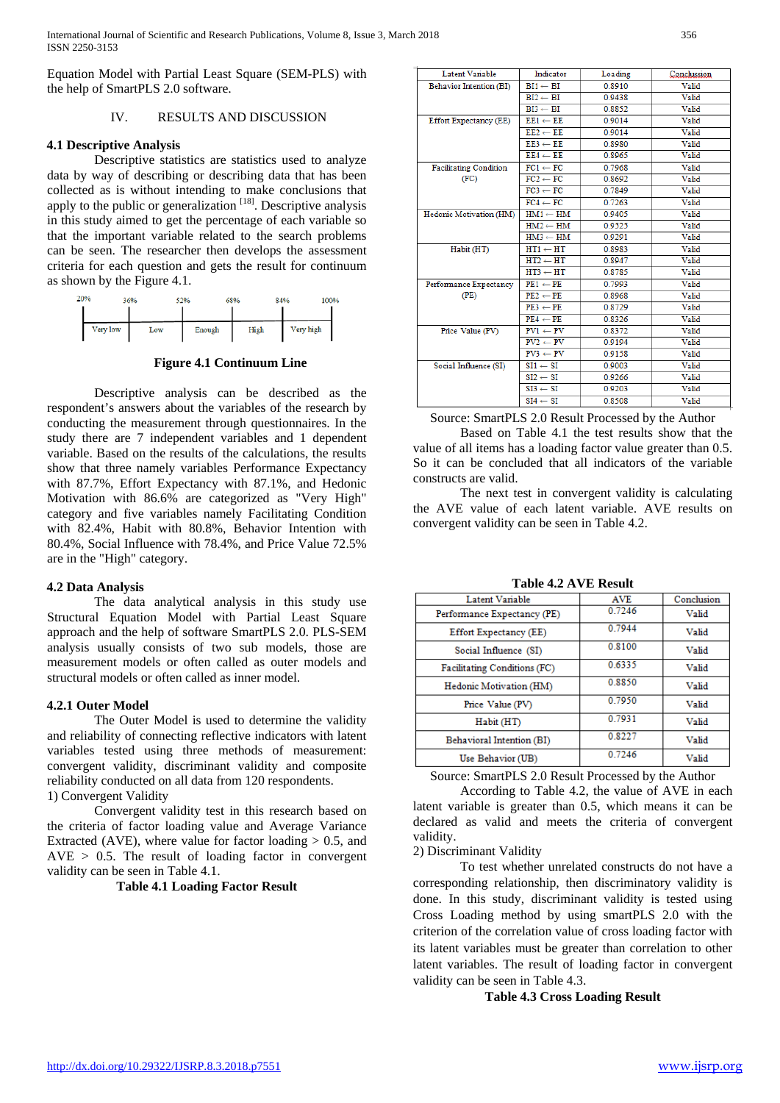Equation Model with Partial Least Square (SEM-PLS) with the help of SmartPLS 2.0 software.

#### IV. RESULTS AND DISCUSSION

#### **4.1 Descriptive Analysis**

Descriptive statistics are statistics used to analyze data by way of describing or describing data that has been collected as is without intending to make conclusions that apply to the public or generalization  $[18]$ . Descriptive analysis in this study aimed to get the percentage of each variable so that the important variable related to the search problems can be seen. The researcher then develops the assessment criteria for each question and gets the result for continuum



**Figure 4.1 Continuum Line**

Descriptive analysis can be described as the respondent's answers about the variables of the research by conducting the measurement through questionnaires. In the study there are 7 independent variables and 1 dependent variable. Based on the results of the calculations, the results show that three namely variables Performance Expectancy with 87.7%, Effort Expectancy with 87.1%, and Hedonic Motivation with 86.6% are categorized as "Very High" category and five variables namely Facilitating Condition with 82.4%, Habit with 80.8%, Behavior Intention with 80.4%, Social Influence with 78.4%, and Price Value 72.5% are in the "High" category.

#### **4.2 Data Analysis**

The data analytical analysis in this study use Structural Equation Model with Partial Least Square approach and the help of software SmartPLS 2.0. PLS-SEM analysis usually consists of two sub models, those are measurement models or often called as outer models and structural models or often called as inner model.

#### **4.2.1 Outer Model**

The Outer Model is used to determine the validity and reliability of connecting reflective indicators with latent variables tested using three methods of measurement: convergent validity, discriminant validity and composite reliability conducted on all data from 120 respondents. 1) Convergent Validity

Convergent validity test in this research based on the criteria of factor loading value and Average Variance Extracted (AVE), where value for factor loading  $> 0.5$ , and  $AVE > 0.5$ . The result of loading factor in convergent validity can be seen in Table 4.1.

**Table 4.1 Loading Factor Result**

| Latent Variable               | Indicator           | Loading | Conclussion |
|-------------------------------|---------------------|---------|-------------|
| Behavior Intention (BI)       | $BI1 \leftarrow BI$ | 0.8910  | Valid       |
|                               | $BI2 \leftarrow BI$ | 0.9438  | Valid       |
|                               | $BI3 \leftarrow BI$ | 0.8852  | Valid       |
| <b>Effort Expectancy (EE)</b> | $EE1 \leftarrow EE$ | 0.9014  | Valid       |
|                               | $EE2 \leftarrow EE$ | 0.9014  | Valid       |
|                               | $EE3 \leftarrow EE$ | 0.8980  | Valid       |
|                               | $EE4 \leftarrow EE$ | 0.8965  | Valid       |
| <b>Facilitating Condition</b> | $FC1 \leftarrow FC$ | 0.7968  | Valid       |
| (FC)                          | $FC2 \leftarrow FC$ | 0.8692  | Valid       |
|                               | $FC3 \leftarrow FC$ | 0.7849  | Valid       |
|                               | $FC4 \leftarrow FC$ | 0.7263  | Valid       |
| Hedonic Motivation (HM)       | $HM1 \leftarrow HM$ | 0.9405  | Valid       |
|                               | $HM2 \leftarrow HM$ | 0.9525  | Valid       |
|                               | $HM3 \leftarrow HM$ | 0.9291  | Valid       |
| Habit (HT)                    | $HT1 \leftarrow HT$ | 0.8983  | Valid       |
|                               | $HT2 \leftarrow HT$ | 0.8947  | Valid       |
|                               | $HT3 \leftarrow HT$ | 0.8785  | Valid       |
| Performance Expectancy        | $PE1 \leftarrow PE$ | 0.7993  | Valid       |
| (PE)                          | $PE2 \leftarrow PE$ | 0.8968  | Valid       |
|                               | $PE3 \leftarrow PE$ | 0.8729  | Valid       |
|                               | $PE4 \leftarrow PE$ | 0.8326  | Valid       |
| Price Value (PV)              | $PV1 \leftarrow PV$ | 0.8372  | Valid       |
|                               | $PV2 \leftarrow PV$ | 0.9194  | Valid       |
|                               | $PV3 \leftarrow PV$ | 0.9158  | Valid       |
| Social Influence (SI)         | $SI1 \leftarrow SI$ | 0.9003  | Valid       |
|                               | $SI2 \leftarrow SI$ | 0.9266  | Valid       |
|                               | $SI3 \leftarrow SI$ | 0.9203  | Valid       |
|                               | $SI4 \leftarrow SI$ | 0.8508  | Valid       |

Source: SmartPLS 2.0 Result Processed by the Author

Based on Table 4.1 the test results show that the value of all items has a loading factor value greater than 0.5. So it can be concluded that all indicators of the variable constructs are valid.

The next test in convergent validity is calculating the AVE value of each latent variable. AVE results on convergent validity can be seen in Table 4.2.

**Table 4.2 AVE Result**

| Latent Variable              | <b>AVE</b> | Conclusion |
|------------------------------|------------|------------|
| Performance Expectancy (PE)  | 0.7246     | Valid      |
| Effort Expectancy (EE)       | 0.7944     | Valid      |
| Social Influence (SI)        | 0.8100     | Valid      |
| Facilitating Conditions (FC) | 0.6335     | Valid      |
| Hedonic Motivation (HM)      | 0.8850     | Valid      |
| Price Value (PV)             | 0.7950     | Valid      |
| Habit (HT)                   | 0.7931     | Valid      |
| Behavioral Intention (BI)    | 0.8227     | Valid      |
| Use Behavior (UB)            | 0.7246     | Valid      |

Source: SmartPLS 2.0 Result Processed by the Author

According to Table 4.2, the value of AVE in each latent variable is greater than 0.5, which means it can be declared as valid and meets the criteria of convergent validity.

2) Discriminant Validity

To test whether unrelated constructs do not have a corresponding relationship, then discriminatory validity is done. In this study, discriminant validity is tested using Cross Loading method by using smartPLS 2.0 with the criterion of the correlation value of cross loading factor with its latent variables must be greater than correlation to other latent variables. The result of loading factor in convergent validity can be seen in Table 4.3.

**Table 4.3 Cross Loading Result**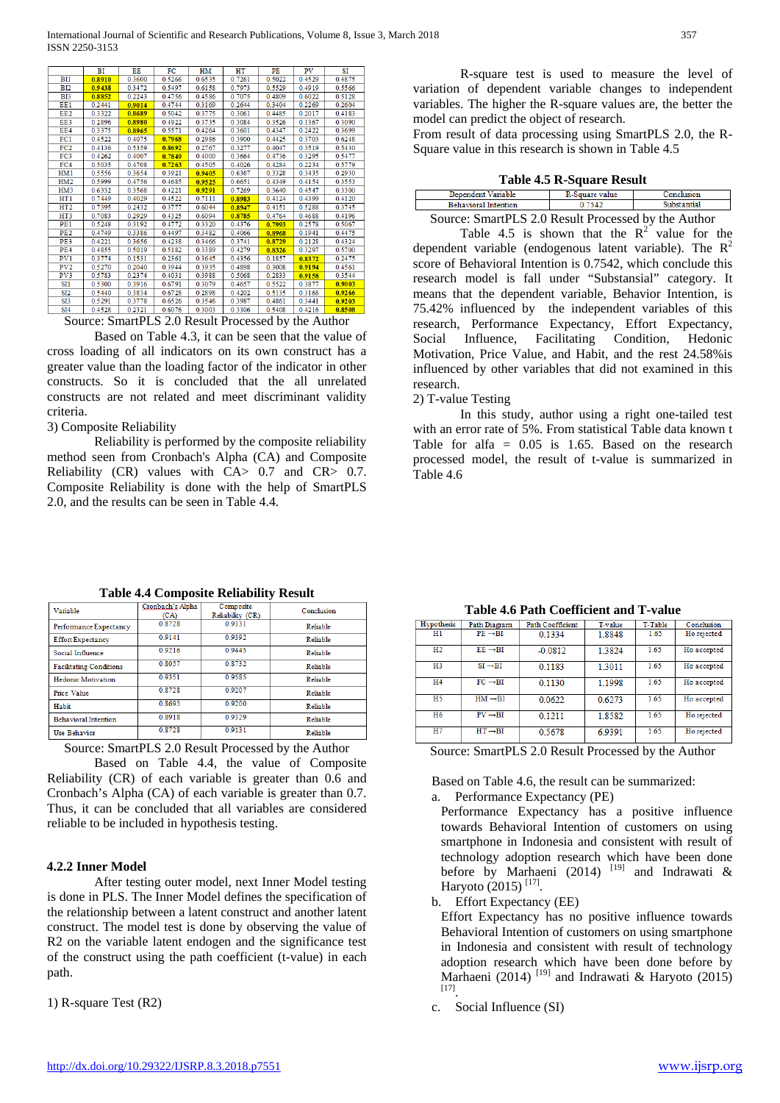|                 | BI        | EE        | FC     | HM      | HТ        | PE     | <b>PV</b> | SI     |
|-----------------|-----------|-----------|--------|---------|-----------|--------|-----------|--------|
| BI1             | 0.8910    | 0.3600    | 0.5266 | 0.6535  | 0.7261    | 0.5022 | 0.4529    | 0.4875 |
| <b>BI2</b>      | 0.9438    | 0.3472    | 0.5497 | 0.6158  | 0.7973    | 0.5529 | 0.4919    | 0.5566 |
| B <sub>I3</sub> | 0.8852    | 0 2 2 4 3 | 04756  | 04586   | 0 7075    | 04809  | 0.6022    | 0.5128 |
| EE1             | 0 2 4 4 1 | 0.9014    | 04744  | 03169   | 0 2 6 4 4 | 0.3404 | 0 2 2 6 9 | 0.2604 |
| EE <sub>2</sub> | 0.3322    | 0.8689    | 0.5042 | 0.3775  | 0.3061    | 0.4485 | 0.2017    | 0.4183 |
| EE3             | 0.2896    | 0.8980    | 0.4922 | 0.3735  | 0.3084    | 0.3526 | 0.1367    | 0.3090 |
| EE4             | 0.3375    | 0.8965    | 0.5571 | 0.4264  | 0.3601    | 0.4347 | 0.2422    | 0.3699 |
| FC1             | 0.4522    | 0.4075    | 0.7968 | 0.2986  | 0.3900    | 0.4425 | 0.3703    | 0.6248 |
| FC2             | 0.4136    | 0.5359    | 0.8692 | 0 27 67 | 0 3277    | 04047  | 03519     | 0.5430 |
| FC3             | 0.4262    | 0.4007    | 0.7849 | 0.4000  | 0.3664    | 0.4736 | 0.3295    | 0.5477 |
| FC4             | 0.5035    | 0.4708    | 0.7263 | 0.4505  | 0.4026    | 0.4284 | 0.2234    | 0.5779 |
| HM1             | 0.5556    | 0.3654    | 0.3921 | 0.9405  | 0.6367    | 0.3328 | 0.3435    | 0.2930 |
| HM2             | 0.5999    | 0.4756    | 0.4685 | 0.9525  | 0.6651    | 0.4349 | 0.4154    | 0.3553 |
| HM3             | 0.6332    | 0.3568    | 0.4221 | 0.9291  | 0.7269    | 0.3640 | 0.4547    | 0.3300 |
| HT1             | 0.7449    | 0.4029    | 0.4522 | 0.7111  | 0.8983    | 0.4124 | 0.4399    | 0.4120 |
| HT <sub>2</sub> | 0.7395    | 0.2432    | 0.3777 | 0.6044  | 0.8947    | 0.4151 | 0.5288    | 0.3745 |
| HT <sub>3</sub> | 0.7083    | 0.2929    | 0.4325 | 0.6094  | 0.8785    | 0.4764 | 0.4688    | 0.4196 |
| PE <sub>1</sub> | 0.5248    | 0.3192    | 0.4772 | 0.3320  | 0.4376    | 0.7993 | 0.2578    | 0.5067 |
| PE <sub>2</sub> | 0.4749    | 0.3386    | 0.4497 | 0.3482  | 0.4066    | 0.8968 | 0.1941    | 0.4475 |
| PE3             | 0.4221    | 0.3656    | 0.4238 | 0.3466  | 0.3741    | 0.8729 | 0.2128    | 0.4324 |
| PE4             | 0.4855    | 0.5019    | 0.5182 | 03389   | 0.4279    | 0.8326 | 0.3297    | 0.5700 |
| PV <sub>1</sub> | 0.3774    | 0.1531    | 0.2361 | 0.3645  | 0.4356    | 0.1857 | 0.8372    | 0.2475 |
| PV2             | 0.5270    | 0.2040    | 0.3944 | 0.3935  | 0.4898    | 0.3008 | 0.9194    | 0.4561 |
| PV3             | 0.5783    | 0.2374    | 0.4031 | 0.3988  | 0.5068    | 0.2833 | 0.9158    | 0.3544 |
| SI1             | 0.5300    | 0.3916    | 0.6791 | 0.3079  | 0.4657    | 0.5522 | 0.3877    | 0.9003 |
| SI <sub>2</sub> | 0.5440    | 0.3834    | 0.6728 | 0.2898  | 0.4202    | 0.5135 | 0.3168    | 0.9266 |
| SI3             | 0.5291    | 0.3778    | 0.6526 | 0.3546  | 0.3987    | 0.4861 | 03441     | 0.9203 |
| <b>SI4</b>      | 0.4528    | 0.2321    | 0.6076 | 0.3003  | 0.3306    | 0.5408 | 0.4216    | 0.8508 |

Source: SmartPLS 2.0 Result Processed by the Author

Based on Table 4.3, it can be seen that the value of cross loading of all indicators on its own construct has a greater value than the loading factor of the indicator in other constructs. So it is concluded that the all unrelated constructs are not related and meet discriminant validity criteria.

#### 3) Composite Reliability

Reliability is performed by the composite reliability method seen from Cronbach's Alpha (CA) and Composite Reliability (CR) values with CA> 0.7 and CR> 0.7. Composite Reliability is done with the help of SmartPLS 2.0, and the results can be seen in Table 4.4.

R-square test is used to measure the level of variation of dependent variable changes to independent variables. The higher the R-square values are, the better the model can predict the object of research.

From result of data processing using SmartPLS 2.0, the R-Square value in this research is shown in Table 4.5

| Table 4.5 R-Square Result |
|---------------------------|
|---------------------------|

| Dependent Variable                                  | R-Square value | Conclusion  |  |  |
|-----------------------------------------------------|----------------|-------------|--|--|
| <b>Behavioral Intention</b>                         | 0.7542         | Substantial |  |  |
| Source: SmartPLS 2.0 Result Processed by the Author |                |             |  |  |

Table 4.5 is shown that the  $R^2$  value for the dependent variable (endogenous latent variable). The  $R^2$ score of Behavioral Intention is 0.7542, which conclude this research model is fall under "Substansial" category. It means that the dependent variable, Behavior Intention, is 75.42% influenced by the independent variables of this research, Performance Expectancy, Effort Expectancy, Social Influence, Facilitating Condition, Hedonic Motivation, Price Value, and Habit, and the rest 24.58%is influenced by other variables that did not examined in this research.

## 2) T-value Testing

In this study, author using a right one-tailed test with an error rate of 5%. From statistical Table data known t Table for alfa  $= 0.05$  is 1.65. Based on the research processed model, the result of t-value is summarized in Table 4.6

| Variable                       |        | www.com          | Conclusion |
|--------------------------------|--------|------------------|------------|
|                                | (CA)   | Reliability (CR) |            |
| Performance Expectancy         | 0.8728 | 0.9131           | Reliable   |
| <b>Effort Expectancy</b>       | 0.9141 | 0.9392           | Reliable   |
| Social Influence               | 0.9216 | 0.9445           | Reliable   |
| <b>Facilitating Conditions</b> | 0.8057 | 0.8732           | Reliable   |
| <b>Hedonic Motivation</b>      | 0.9351 | 0.9585           | Reliable   |
| Price Value                    | 0.8728 | 0.9207           | Reliable   |
| Habit                          | 0.8695 | 0.9200           | Reliable   |
| <b>Behavioral Intention</b>    | 0.8918 | 0.9329           | Reliable   |
| <b>Use Behavior</b>            | 0.8728 | 0.9131           | Reliable   |
|                                |        |                  |            |

**Table 4.4 Composite Reliability Result**

Source: SmartPLS 2.0 Result Processed by the Author

Based on Table 4.4, the value of Composite Reliability (CR) of each variable is greater than 0.6 and Cronbach's Alpha (CA) of each variable is greater than 0.7. Thus, it can be concluded that all variables are considered reliable to be included in hypothesis testing.

## **4.2.2 Inner Model**

After testing outer model, next Inner Model testing is done in PLS. The Inner Model defines the specification of the relationship between a latent construct and another latent construct. The model test is done by observing the value of R2 on the variable latent endogen and the significance test of the construct using the path coefficient (t-value) in each path.

1) R-square Test (R2)

**Table 4.6 Path Coefficient and T-value**

| Hypothesis     | Path Diagram        | <b>Path Coefficient</b> | T-value | T-Table | Conclusion  |
|----------------|---------------------|-------------------------|---------|---------|-------------|
| Нı             | $PE \rightarrow BI$ | 0.1334                  | 1.8848  | 1.65    | Ho rejected |
| H2             | $EE \rightarrow BI$ | $-0.0812$               | 1.3824  | 1.65    | Ho accepted |
| H <sub>3</sub> | $SI \rightarrow BI$ | 0.1183                  | 1.3011  | 1.65    | Ho accepted |
| H <sub>4</sub> | $FC \rightarrow BI$ | 0.1130                  | 1.1998  | 1.65    | Ho accepted |
| H <sub>5</sub> | $HM \rightarrow BI$ | 0.0622                  | 0.6273  | 1.65    | Ho accepted |
| H <sub>6</sub> | $PV \rightarrow BI$ | 0.1211                  | 1.8582  | 1.65    | Ho rejected |
| H7             | $HT \rightarrow BI$ | 0.5678                  | 6.9391  | 1.65    | Ho rejected |

Source: SmartPLS 2.0 Result Processed by the Author

Based on Table 4.6, the result can be summarized: a. Performance Expectancy (PE)

- Performance Expectancy has a positive influence towards Behavioral Intention of customers on using smartphone in Indonesia and consistent with result of technology adoption research which have been done before by Marhaeni (2014)  $[19]$  and Indrawati & Haryoto (2015) [17].
- b. Effort Expectancy (EE)
	- Effort Expectancy has no positive influence towards Behavioral Intention of customers on using smartphone in Indonesia and consistent with result of technology adoption research which have been done before by Marhaeni (2014)<sup>[19]</sup> and Indrawati & Haryoto (2015) [17].
- c. Social Influence (SI)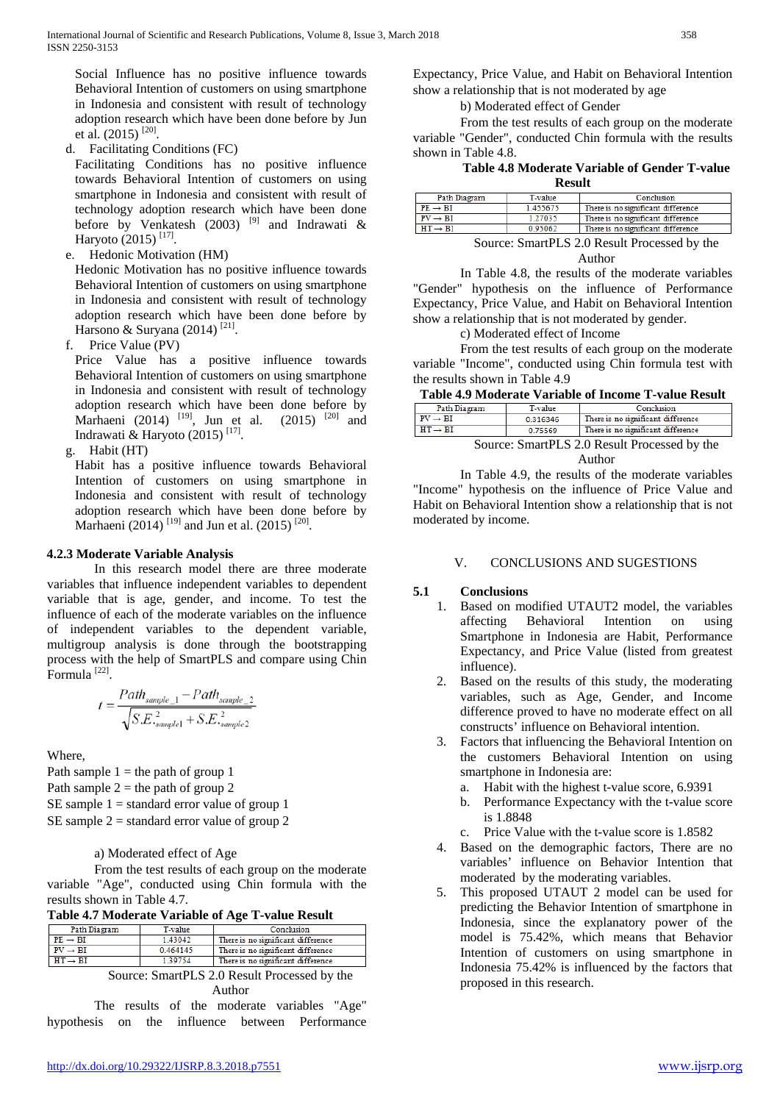Social Influence has no positive influence towards Behavioral Intention of customers on using smartphone in Indonesia and consistent with result of technology adoption research which have been done before by Jun et al.  $(2015)$ <sup>[20]</sup>.

d. Facilitating Conditions (FC)

Facilitating Conditions has no positive influence towards Behavioral Intention of customers on using smartphone in Indonesia and consistent with result of technology adoption research which have been done before by Venkatesh (2003) <sup>[9]</sup> and Indrawati & Haryoto (2015)<sup>[17]</sup>.

e. Hedonic Motivation (HM)

Hedonic Motivation has no positive influence towards Behavioral Intention of customers on using smartphone in Indonesia and consistent with result of technology adoption research which have been done before by Harsono & Suryana (2014)<sup>[21]</sup>.

f. Price Value (PV)

Price Value has a positive influence towards Behavioral Intention of customers on using smartphone in Indonesia and consistent with result of technology adoption research which have been done before by Marhaeni (2014) <sup>[19]</sup>, Jun et al. (2015) <sup>[20]</sup> and Indrawati & Haryoto (2015) [17].

g. Habit (HT)

Habit has a positive influence towards Behavioral Intention of customers on using smartphone in Indonesia and consistent with result of technology adoption research which have been done before by Marhaeni (2014)<sup>[19]</sup> and Jun et al. (2015)<sup>[20]</sup>.

## **4.2.3 Moderate Variable Analysis**

In this research model there are three moderate variables that influence independent variables to dependent variable that is age, gender, and income. To test the influence of each of the moderate variables on the influence of independent variables to the dependent variable, multigroup analysis is done through the bootstrapping process with the help of SmartPLS and compare using Chin Formula [22].

$$
t = \frac{Path_{sample\_1} - Path_{sample\_2}}{\sqrt{S.E.^{2}_{sample1} + S.E.^{2}_{sample2}}}
$$

Where,

Path sample  $1 =$  the path of group 1 Path sample  $2 =$  the path of group 2 SE sample  $1 =$  standard error value of group 1 SE sample  $2 =$  standard error value of group 2

## a) Moderated effect of Age

From the test results of each group on the moderate variable "Age", conducted using Chin formula with the results shown in Table 4.7.

**Table 4.7 Moderate Variable of Age T-value Result**

| Path Diagram        | T-value | Conclusion                         |
|---------------------|---------|------------------------------------|
| $PE \rightarrow BI$ | 1.43042 | There is no significant difference |
| $PV \rightarrow BI$ | 0464145 | There is no significant difference |
| $HT \rightarrow BI$ | 139754  | There is no significant difference |
|                     |         |                                    |

Source: SmartPLS 2.0 Result Processed by the Author

The results of the moderate variables "Age" hypothesis on the influence between Performance Expectancy, Price Value, and Habit on Behavioral Intention show a relationship that is not moderated by age

b) Moderated effect of Gender

From the test results of each group on the moderate variable "Gender", conducted Chin formula with the results shown in Table 4.8.

# **Table 4.8 Moderate Variable of Gender T-value**

| <b>Result</b>       |          |                                    |  |  |
|---------------------|----------|------------------------------------|--|--|
| Path Diagram        | T-value  | Conclusion                         |  |  |
| $PE \rightarrow BI$ | 1.455675 | There is no significant difference |  |  |
| $PV \rightarrow BI$ | 1.27035  | There is no significant difference |  |  |
| $HT \rightarrow BI$ | 0.95062  | There is no significant difference |  |  |

Source: SmartPLS 2.0 Result Processed by the Author

In Table 4.8, the results of the moderate variables "Gender" hypothesis on the influence of Performance Expectancy, Price Value, and Habit on Behavioral Intention show a relationship that is not moderated by gender.

c) Moderated effect of Income

From the test results of each group on the moderate variable "Income", conducted using Chin formula test with the results shown in Table 4.9

|  | Table 4.9 Moderate Variable of Income T-value Result |  |
|--|------------------------------------------------------|--|
|--|------------------------------------------------------|--|

| Path Diagram                                 | T-value  | Conclusion                         |  |  |
|----------------------------------------------|----------|------------------------------------|--|--|
| $PV \rightarrow BI$                          | 0.316346 | There is no significant difference |  |  |
| $HT \rightarrow BI$                          | 0.75569  | There is no significant difference |  |  |
| Source: SmartPLS 2.0 Result Processed by the |          |                                    |  |  |

Author

In Table 4.9, the results of the moderate variables "Income" hypothesis on the influence of Price Value and Habit on Behavioral Intention show a relationship that is not moderated by income.

## V. CONCLUSIONS AND SUGESTIONS

## **5.1 Conclusions**

- 1. Based on modified UTAUT2 model, the variables affecting Behavioral Intention on using Smartphone in Indonesia are Habit, Performance Expectancy, and Price Value (listed from greatest influence).
- 2. Based on the results of this study, the moderating variables, such as Age, Gender, and Income difference proved to have no moderate effect on all constructs' influence on Behavioral intention.
- 3. Factors that influencing the Behavioral Intention on the customers Behavioral Intention on using smartphone in Indonesia are:
	- a. Habit with the highest t-value score, 6.9391
	- b. Performance Expectancy with the t-value score is 1.8848
	- c. Price Value with the t-value score is 1.8582
- 4. Based on the demographic factors, There are no variables' influence on Behavior Intention that moderated by the moderating variables.
- 5. This proposed UTAUT 2 model can be used for predicting the Behavior Intention of smartphone in Indonesia, since the explanatory power of the model is 75.42%, which means that Behavior Intention of customers on using smartphone in Indonesia 75.42% is influenced by the factors that proposed in this research.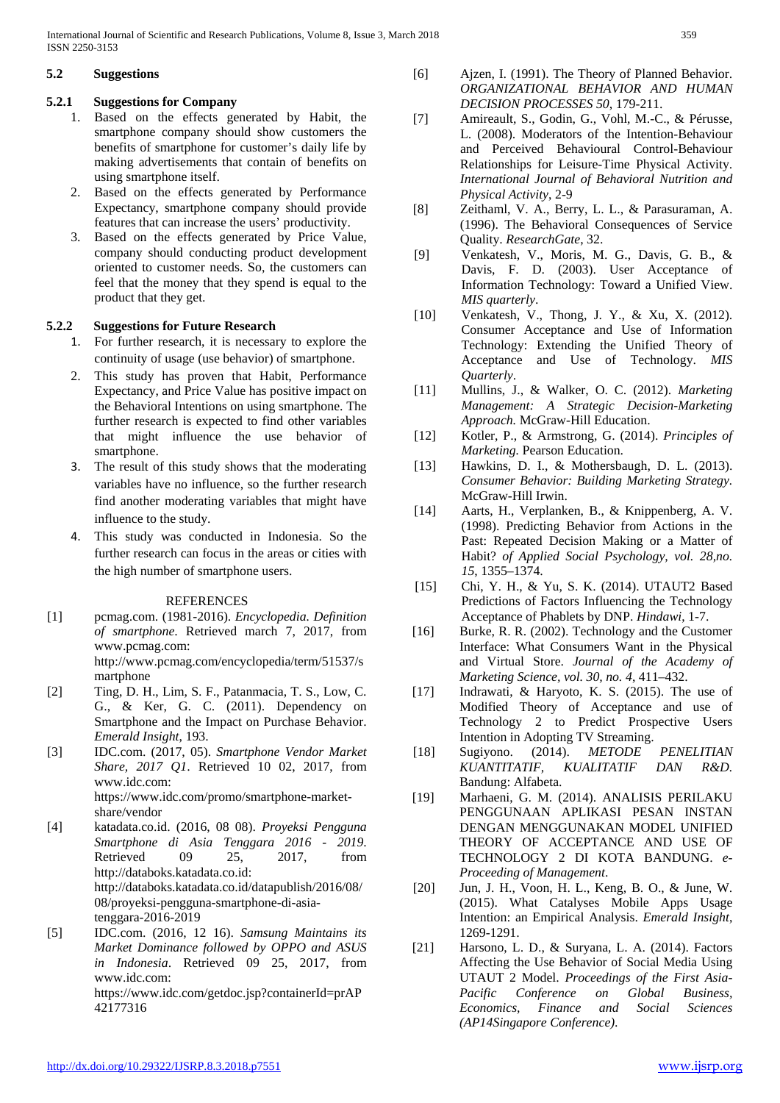International Journal of Scientific and Research Publications, Volume 8, Issue 3, March 2018 359 ISSN 2250-3153

## **5.2 Suggestions**

# **5.2.1 Suggestions for Company**

- 1. Based on the effects generated by Habit, the smartphone company should show customers the benefits of smartphone for customer's daily life by making advertisements that contain of benefits on using smartphone itself.
- 2. Based on the effects generated by Performance Expectancy, smartphone company should provide features that can increase the users' productivity.
- 3. Based on the effects generated by Price Value, company should conducting product development oriented to customer needs. So, the customers can feel that the money that they spend is equal to the product that they get.

# **5.2.2 Suggestions for Future Research**

- 1. For further research, it is necessary to explore the continuity of usage (use behavior) of smartphone.
- 2. This study has proven that Habit, Performance Expectancy, and Price Value has positive impact on the Behavioral Intentions on using smartphone. The further research is expected to find other variables that might influence the use behavior of smartphone.
- 3. The result of this study shows that the moderating variables have no influence, so the further research find another moderating variables that might have influence to the study.
- 4. This study was conducted in Indonesia. So the further research can focus in the areas or cities with the high number of smartphone users.

# REFERENCES

- [1] pcmag.com. (1981-2016). *Encyclopedia. Definition of smartphone*. Retrieved march 7, 2017, from www.pcmag.com: http://www.pcmag.com/encyclopedia/term/51537/s martphone
- [2] Ting, D. H., Lim, S. F., Patanmacia, T. S., Low, C. G., & Ker, G. C. (2011). Dependency on Smartphone and the Impact on Purchase Behavior. *Emerald Insight*, 193.
- [3] IDC.com. (2017, 05). *Smartphone Vendor Market Share, 2017 Q1*. Retrieved 10 02, 2017, from www.idc.com: https://www.idc.com/promo/smartphone-marketshare/vendor
- [4] katadata.co.id. (2016, 08 08). *Proyeksi Pengguna Smartphone di Asia Tenggara 2016 - 2019*. Retrieved 09 25, 2017, from http://databoks.katadata.co.id: http://databoks.katadata.co.id/datapublish/2016/08/ 08/proyeksi-pengguna-smartphone-di-asiatenggara-2016-2019
- [5] IDC.com. (2016, 12 16). *Samsung Maintains its Market Dominance followed by OPPO and ASUS in Indonesia*. Retrieved 09 25, 2017, from www.idc.com: https://www.idc.com/getdoc.jsp?containerId=prAP 42177316
- [6] Ajzen, I. (1991). The Theory of Planned Behavior. *ORGANIZATIONAL BEHAVIOR AND HUMAN DECISION PROCESSES 50*, 179-211.
- [7] Amireault, S., Godin, G., Vohl, M.-C., & Pérusse, L. (2008). Moderators of the Intention-Behaviour and Perceived Behavioural Control-Behaviour Relationships for Leisure-Time Physical Activity. *International Journal of Behavioral Nutrition and Physical Activity*, 2-9
- [8] Zeithaml, V. A., Berry, L. L., & Parasuraman, A. (1996). The Behavioral Consequences of Service Quality. *ResearchGate*, 32.
- [9] Venkatesh, V., Moris, M. G., Davis, G. B., & Davis, F. D. (2003). User Acceptance of Information Technology: Toward a Unified View. *MIS quarterly*.
- [10] Venkatesh, V., Thong, J. Y., & Xu, X. (2012). Consumer Acceptance and Use of Information Technology: Extending the Unified Theory of Acceptance and Use of Technology. *MIS Quarterly*.
- [11] Mullins, J., & Walker, O. C. (2012). *Marketing Management: A Strategic Decision-Marketing Approach.* McGraw-Hill Education.
- [12] Kotler, P., & Armstrong, G. (2014). *Principles of Marketing.* Pearson Education.
- [13] Hawkins, D. I., & Mothersbaugh, D. L. (2013). *Consumer Behavior: Building Marketing Strategy.* McGraw-Hill Irwin.
- [14] Aarts, H., Verplanken, B., & Knippenberg, A. V. (1998). Predicting Behavior from Actions in the Past: Repeated Decision Making or a Matter of Habit? *of Applied Social Psychology, vol. 28,no. 15*, 1355–1374.
- [15] Chi, Y. H., & Yu, S. K. (2014). UTAUT2 Based Predictions of Factors Influencing the Technology Acceptance of Phablets by DNP. *Hindawi*, 1-7.
- [16] Burke, R. R. (2002). Technology and the Customer Interface: What Consumers Want in the Physical and Virtual Store. *Journal of the Academy of Marketing Science, vol. 30, no. 4*, 411–432.
- [17] Indrawati, & Haryoto, K. S. (2015). The use of Modified Theory of Acceptance and use of Technology 2 to Predict Prospective Users Intention in Adopting TV Streaming.
- [18] Sugiyono. (2014). *METODE PENELITIAN KUANTITATIF, KUALITATIF DAN R&D.* Bandung: Alfabeta.
- [19] Marhaeni, G. M. (2014). ANALISIS PERILAKU PENGGUNAAN APLIKASI PESAN INSTAN DENGAN MENGGUNAKAN MODEL UNIFIED THEORY OF ACCEPTANCE AND USE OF TECHNOLOGY 2 DI KOTA BANDUNG. *e-Proceeding of Management*.
- [20] Jun, J. H., Voon, H. L., Keng, B. O., & June, W. (2015). What Catalyses Mobile Apps Usage Intention: an Empirical Analysis. *Emerald Insight*, 1269-1291.
- [21] Harsono, L. D., & Suryana, L. A. (2014). Factors Affecting the Use Behavior of Social Media Using UTAUT 2 Model. *Proceedings of the First Asia-Pacific Conference on Global Business, Economics, Finance and Social Sciences (AP14Singapore Conference)*.